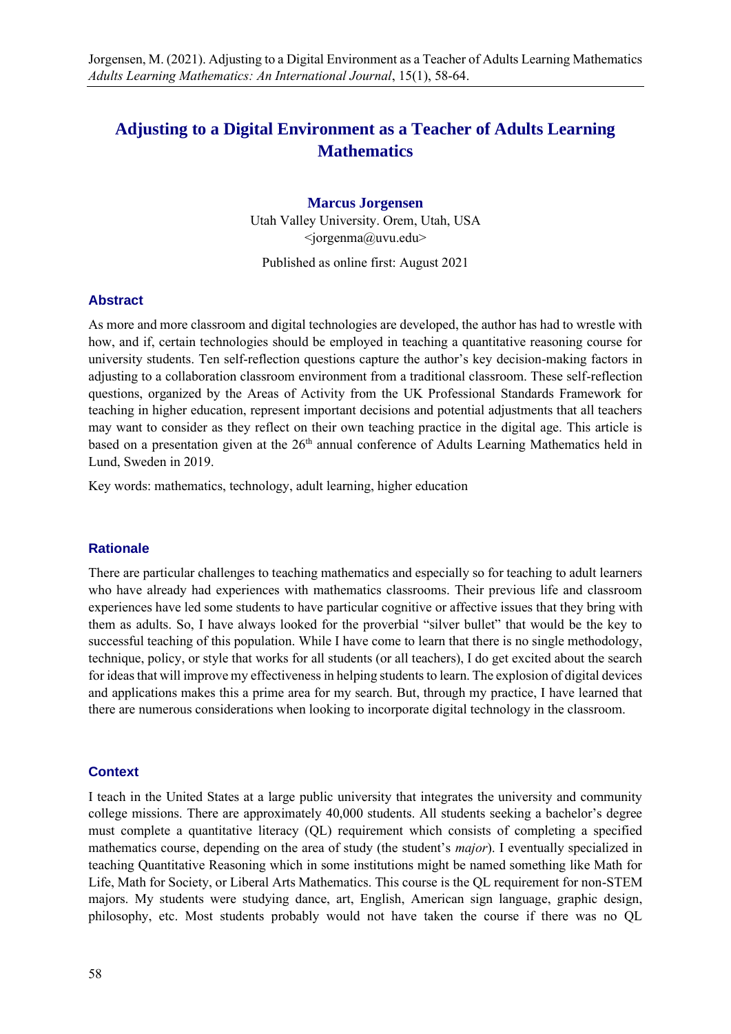# **Adjusting to a Digital Environment as a Teacher of Adults Learning Mathematics**

## **Marcus Jorgensen**

Utah Valley University. Orem, Utah, USA  $\langle$ iorgenma@uvu.edu>

Published as online first: August 2021

#### **Abstract**

As more and more classroom and digital technologies are developed, the author has had to wrestle with how, and if, certain technologies should be employed in teaching a quantitative reasoning course for university students. Ten self-reflection questions capture the author's key decision-making factors in adjusting to a collaboration classroom environment from a traditional classroom. These self-reflection questions, organized by the Areas of Activity from the UK Professional Standards Framework for teaching in higher education, represent important decisions and potential adjustments that all teachers may want to consider as they reflect on their own teaching practice in the digital age. This article is based on a presentation given at the 26<sup>th</sup> annual conference of Adults Learning Mathematics held in Lund, Sweden in 2019.

Key words: mathematics, technology, adult learning, higher education

# **Rationale**

There are particular challenges to teaching mathematics and especially so for teaching to adult learners who have already had experiences with mathematics classrooms. Their previous life and classroom experiences have led some students to have particular cognitive or affective issues that they bring with them as adults. So, I have always looked for the proverbial "silver bullet" that would be the key to successful teaching of this population. While I have come to learn that there is no single methodology, technique, policy, or style that works for all students (or all teachers), I do get excited about the search for ideas that will improve my effectiveness in helping students to learn. The explosion of digital devices and applications makes this a prime area for my search. But, through my practice, I have learned that there are numerous considerations when looking to incorporate digital technology in the classroom.

## **Context**

I teach in the United States at a large public university that integrates the university and community college missions. There are approximately 40,000 students. All students seeking a bachelor's degree must complete a quantitative literacy (QL) requirement which consists of completing a specified mathematics course, depending on the area of study (the student's *major*). I eventually specialized in teaching Quantitative Reasoning which in some institutions might be named something like Math for Life, Math for Society, or Liberal Arts Mathematics. This course is the QL requirement for non-STEM majors. My students were studying dance, art, English, American sign language, graphic design, philosophy, etc. Most students probably would not have taken the course if there was no QL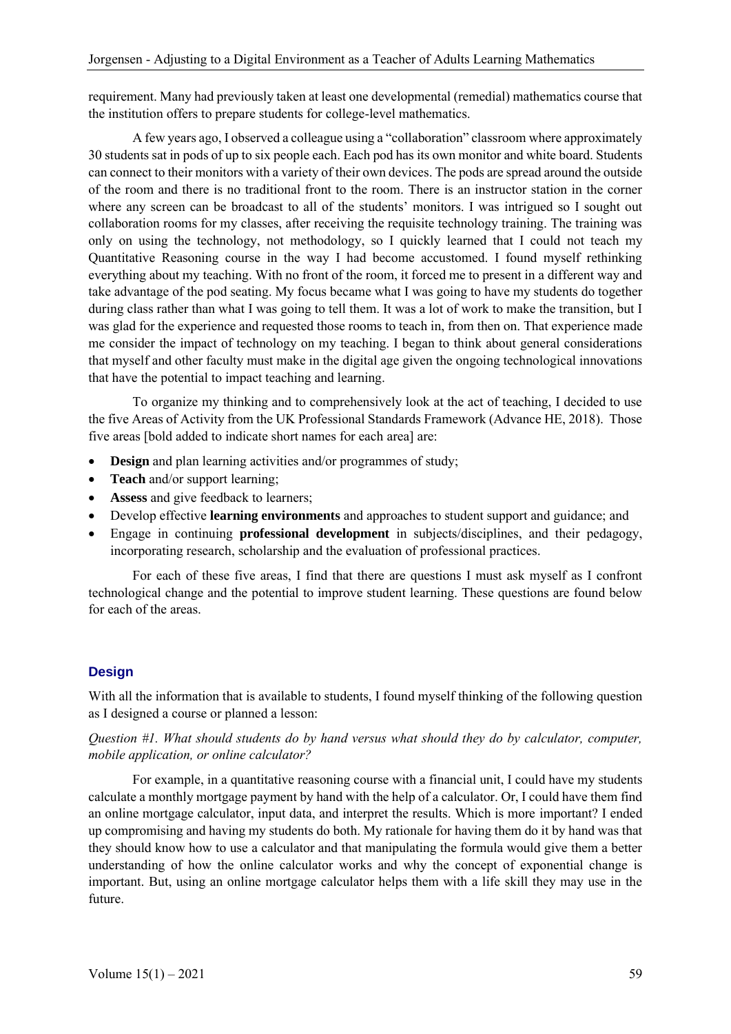requirement. Many had previously taken at least one developmental (remedial) mathematics course that the institution offers to prepare students for college-level mathematics.

A few years ago, I observed a colleague using a "collaboration" classroom where approximately 30 students sat in pods of up to six people each. Each pod has its own monitor and white board. Students can connect to their monitors with a variety of their own devices. The pods are spread around the outside of the room and there is no traditional front to the room. There is an instructor station in the corner where any screen can be broadcast to all of the students' monitors. I was intrigued so I sought out collaboration rooms for my classes, after receiving the requisite technology training. The training was only on using the technology, not methodology, so I quickly learned that I could not teach my Quantitative Reasoning course in the way I had become accustomed. I found myself rethinking everything about my teaching. With no front of the room, it forced me to present in a different way and take advantage of the pod seating. My focus became what I was going to have my students do together during class rather than what I was going to tell them. It was a lot of work to make the transition, but I was glad for the experience and requested those rooms to teach in, from then on. That experience made me consider the impact of technology on my teaching. I began to think about general considerations that myself and other faculty must make in the digital age given the ongoing technological innovations that have the potential to impact teaching and learning.

To organize my thinking and to comprehensively look at the act of teaching, I decided to use the five Areas of Activity from the UK Professional Standards Framework (Advance HE, 2018). Those five areas [bold added to indicate short names for each area] are:

- **Design** and plan learning activities and/or programmes of study;
- **Teach** and/or support learning;
- **Assess** and give feedback to learners;
- Develop effective **learning environments** and approaches to student support and guidance; and
- Engage in continuing **professional development** in subjects/disciplines, and their pedagogy, incorporating research, scholarship and the evaluation of professional practices.

For each of these five areas, I find that there are questions I must ask myself as I confront technological change and the potential to improve student learning. These questions are found below for each of the areas.

# **Design**

With all the information that is available to students. I found myself thinking of the following question as I designed a course or planned a lesson:

# *Question #1. What should students do by hand versus what should they do by calculator, computer, mobile application, or online calculator?*

For example, in a quantitative reasoning course with a financial unit, I could have my students calculate a monthly mortgage payment by hand with the help of a calculator. Or, I could have them find an online mortgage calculator, input data, and interpret the results. Which is more important? I ended up compromising and having my students do both. My rationale for having them do it by hand was that they should know how to use a calculator and that manipulating the formula would give them a better understanding of how the online calculator works and why the concept of exponential change is important. But, using an online mortgage calculator helps them with a life skill they may use in the future.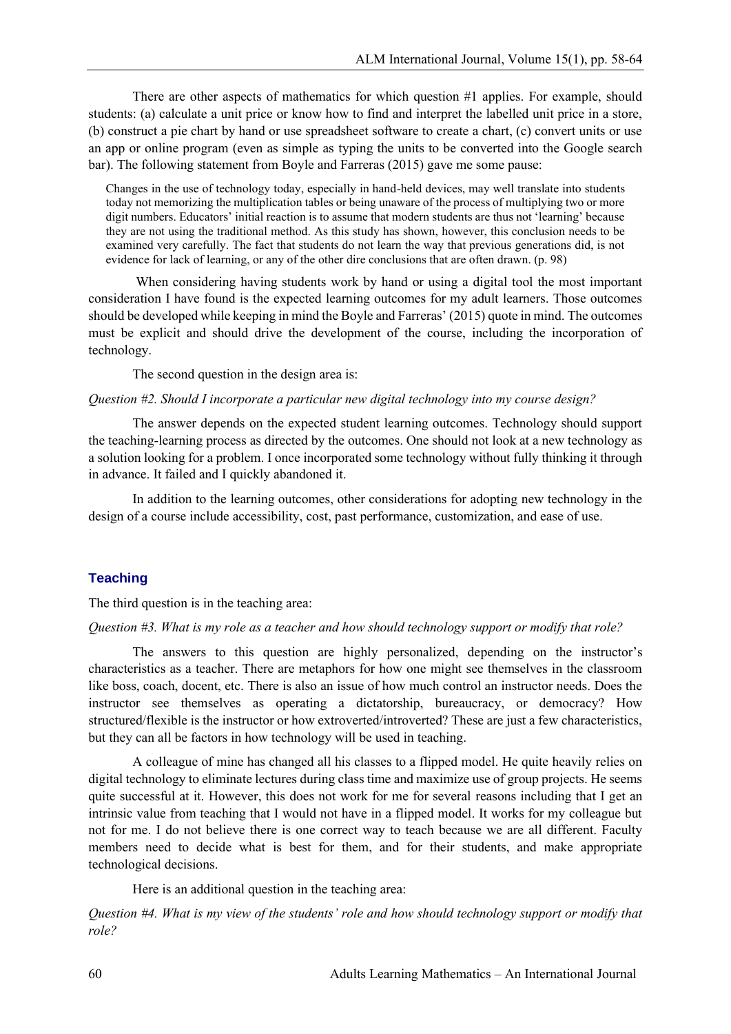There are other aspects of mathematics for which question #1 applies. For example, should students: (a) calculate a unit price or know how to find and interpret the labelled unit price in a store, (b) construct a pie chart by hand or use spreadsheet software to create a chart, (c) convert units or use an app or online program (even as simple as typing the units to be converted into the Google search bar). The following statement from Boyle and Farreras (2015) gave me some pause:

Changes in the use of technology today, especially in hand-held devices, may well translate into students today not memorizing the multiplication tables or being unaware of the process of multiplying two or more digit numbers. Educators' initial reaction is to assume that modern students are thus not 'learning' because they are not using the traditional method. As this study has shown, however, this conclusion needs to be examined very carefully. The fact that students do not learn the way that previous generations did, is not evidence for lack of learning, or any of the other dire conclusions that are often drawn. (p. 98)

When considering having students work by hand or using a digital tool the most important consideration I have found is the expected learning outcomes for my adult learners. Those outcomes should be developed while keeping in mind the Boyle and Farreras' (2015) quote in mind. The outcomes must be explicit and should drive the development of the course, including the incorporation of technology.

The second question in the design area is:

#### *Question #2. Should I incorporate a particular new digital technology into my course design?*

The answer depends on the expected student learning outcomes. Technology should support the teaching-learning process as directed by the outcomes. One should not look at a new technology as a solution looking for a problem. I once incorporated some technology without fully thinking it through in advance. It failed and I quickly abandoned it.

In addition to the learning outcomes, other considerations for adopting new technology in the design of a course include accessibility, cost, past performance, customization, and ease of use.

## **Teaching**

The third question is in the teaching area:

## *Question #3. What is my role as a teacher and how should technology support or modify that role?*

The answers to this question are highly personalized, depending on the instructor's characteristics as a teacher. There are metaphors for how one might see themselves in the classroom like boss, coach, docent, etc. There is also an issue of how much control an instructor needs. Does the instructor see themselves as operating a dictatorship, bureaucracy, or democracy? How structured/flexible is the instructor or how extroverted/introverted? These are just a few characteristics, but they can all be factors in how technology will be used in teaching.

A colleague of mine has changed all his classes to a flipped model. He quite heavily relies on digital technology to eliminate lectures during class time and maximize use of group projects. He seems quite successful at it. However, this does not work for me for several reasons including that I get an intrinsic value from teaching that I would not have in a flipped model. It works for my colleague but not for me. I do not believe there is one correct way to teach because we are all different. Faculty members need to decide what is best for them, and for their students, and make appropriate technological decisions.

Here is an additional question in the teaching area:

*Question #4. What is my view of the students' role and how should technology support or modify that role?*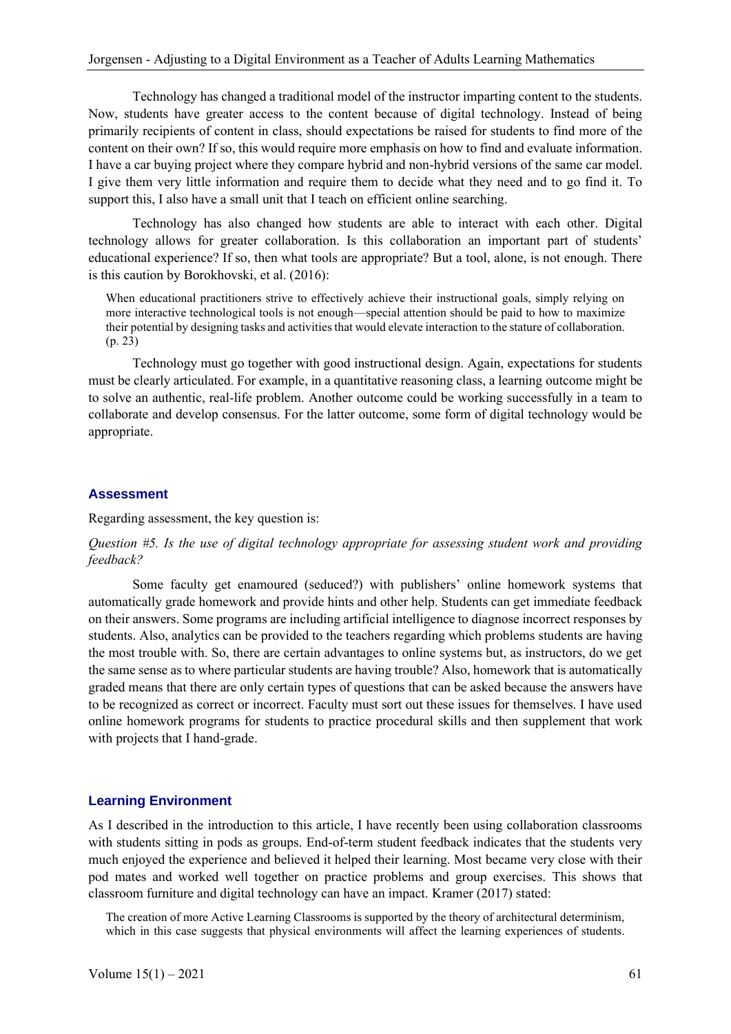Technology has changed a traditional model of the instructor imparting content to the students. Now, students have greater access to the content because of digital technology. Instead of being primarily recipients of content in class, should expectations be raised for students to find more of the content on their own? If so, this would require more emphasis on how to find and evaluate information. I have a car buying project where they compare hybrid and non-hybrid versions of the same car model. I give them very little information and require them to decide what they need and to go find it. To support this, I also have a small unit that I teach on efficient online searching.

Technology has also changed how students are able to interact with each other. Digital technology allows for greater collaboration. Is this collaboration an important part of students' educational experience? If so, then what tools are appropriate? But a tool, alone, is not enough. There is this caution by Borokhovski, et al. (2016):

When educational practitioners strive to effectively achieve their instructional goals, simply relying on more interactive technological tools is not enough—special attention should be paid to how to maximize their potential by designing tasks and activities that would elevate interaction to the stature of collaboration. (p. 23)

Technology must go together with good instructional design. Again, expectations for students must be clearly articulated. For example, in a quantitative reasoning class, a learning outcome might be to solve an authentic, real-life problem. Another outcome could be working successfully in a team to collaborate and develop consensus. For the latter outcome, some form of digital technology would be appropriate.

## **Assessment**

Regarding assessment, the key question is:

# *Question #5. Is the use of digital technology appropriate for assessing student work and providing feedback?*

Some faculty get enamoured (seduced?) with publishers' online homework systems that automatically grade homework and provide hints and other help. Students can get immediate feedback on their answers. Some programs are including artificial intelligence to diagnose incorrect responses by students. Also, analytics can be provided to the teachers regarding which problems students are having the most trouble with. So, there are certain advantages to online systems but, as instructors, do we get the same sense as to where particular students are having trouble? Also, homework that is automatically graded means that there are only certain types of questions that can be asked because the answers have to be recognized as correct or incorrect. Faculty must sort out these issues for themselves. I have used online homework programs for students to practice procedural skills and then supplement that work with projects that I hand-grade.

## **Learning Environment**

As I described in the introduction to this article, I have recently been using collaboration classrooms with students sitting in pods as groups. End-of-term student feedback indicates that the students very much enjoyed the experience and believed it helped their learning. Most became very close with their pod mates and worked well together on practice problems and group exercises. This shows that classroom furniture and digital technology can have an impact. Kramer (2017) stated:

The creation of more Active Learning Classrooms is supported by the theory of architectural determinism, which in this case suggests that physical environments will affect the learning experiences of students.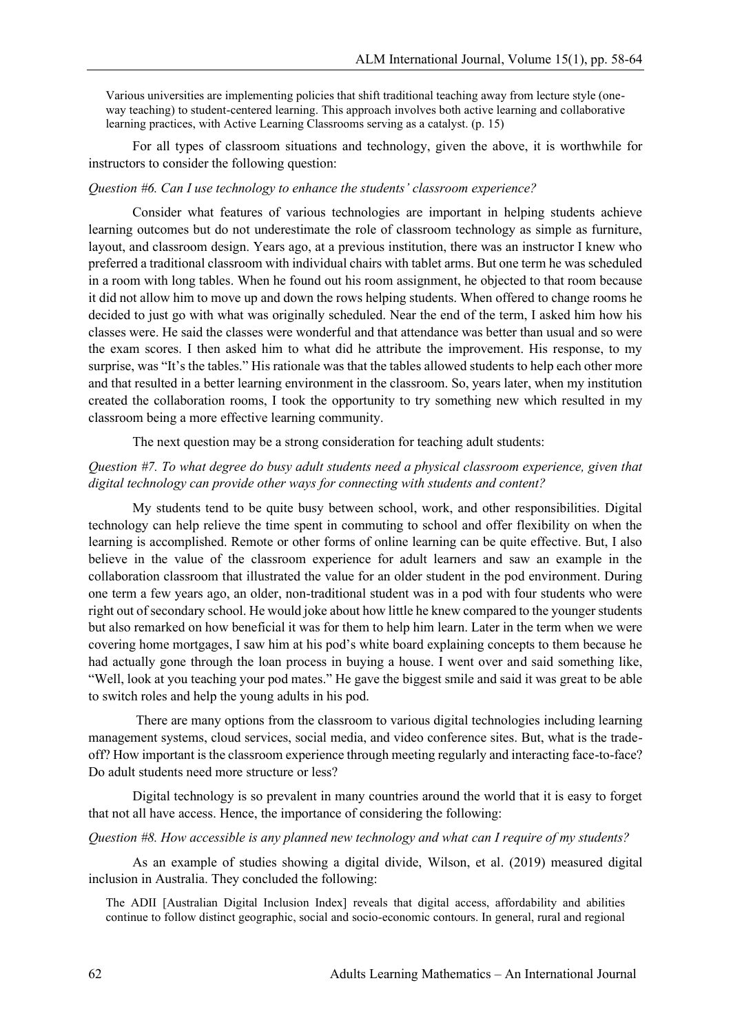Various universities are implementing policies that shift traditional teaching away from lecture style (oneway teaching) to student-centered learning. This approach involves both active learning and collaborative learning practices, with Active Learning Classrooms serving as a catalyst. (p. 15)

For all types of classroom situations and technology, given the above, it is worthwhile for instructors to consider the following question:

# *Question #6. Can I use technology to enhance the students' classroom experience?*

Consider what features of various technologies are important in helping students achieve learning outcomes but do not underestimate the role of classroom technology as simple as furniture, layout, and classroom design. Years ago, at a previous institution, there was an instructor I knew who preferred a traditional classroom with individual chairs with tablet arms. But one term he was scheduled in a room with long tables. When he found out his room assignment, he objected to that room because it did not allow him to move up and down the rows helping students. When offered to change rooms he decided to just go with what was originally scheduled. Near the end of the term, I asked him how his classes were. He said the classes were wonderful and that attendance was better than usual and so were the exam scores. I then asked him to what did he attribute the improvement. His response, to my surprise, was "It's the tables." His rationale was that the tables allowed students to help each other more and that resulted in a better learning environment in the classroom. So, years later, when my institution created the collaboration rooms, I took the opportunity to try something new which resulted in my classroom being a more effective learning community.

The next question may be a strong consideration for teaching adult students:

# *Question #7. To what degree do busy adult students need a physical classroom experience, given that digital technology can provide other ways for connecting with students and content?*

My students tend to be quite busy between school, work, and other responsibilities. Digital technology can help relieve the time spent in commuting to school and offer flexibility on when the learning is accomplished. Remote or other forms of online learning can be quite effective. But, I also believe in the value of the classroom experience for adult learners and saw an example in the collaboration classroom that illustrated the value for an older student in the pod environment. During one term a few years ago, an older, non-traditional student was in a pod with four students who were right out of secondary school. He would joke about how little he knew compared to the younger students but also remarked on how beneficial it was for them to help him learn. Later in the term when we were covering home mortgages, I saw him at his pod's white board explaining concepts to them because he had actually gone through the loan process in buying a house. I went over and said something like, "Well, look at you teaching your pod mates." He gave the biggest smile and said it was great to be able to switch roles and help the young adults in his pod.

There are many options from the classroom to various digital technologies including learning management systems, cloud services, social media, and video conference sites. But, what is the tradeoff? How important is the classroom experience through meeting regularly and interacting face-to-face? Do adult students need more structure or less?

Digital technology is so prevalent in many countries around the world that it is easy to forget that not all have access. Hence, the importance of considering the following:

### *Question #8. How accessible is any planned new technology and what can I require of my students?*

As an example of studies showing a digital divide, Wilson, et al. (2019) measured digital inclusion in Australia. They concluded the following:

The ADII [Australian Digital Inclusion Index] reveals that digital access, affordability and abilities continue to follow distinct geographic, social and socio-economic contours. In general, rural and regional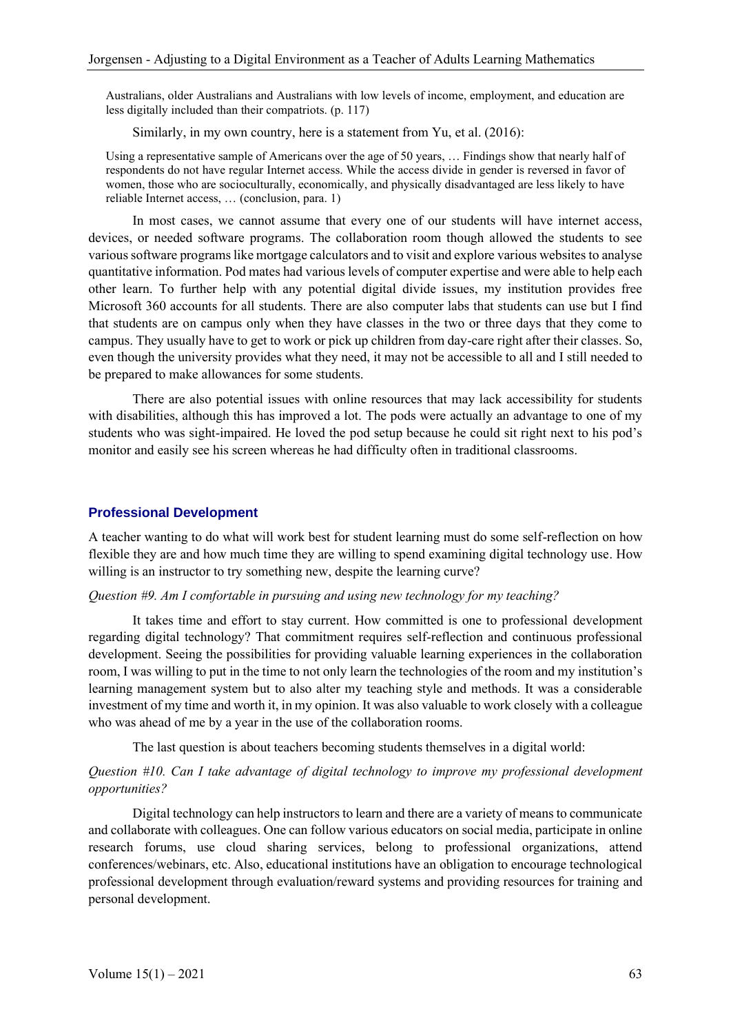Australians, older Australians and Australians with low levels of income, employment, and education are less digitally included than their compatriots. (p. 117)

Similarly, in my own country, here is a statement from Yu, et al. (2016):

Using a representative sample of Americans over the age of 50 years, … Findings show that nearly half of respondents do not have regular Internet access. While the access divide in gender is reversed in favor of women, those who are socioculturally, economically, and physically disadvantaged are less likely to have reliable Internet access, … (conclusion, para. 1)

In most cases, we cannot assume that every one of our students will have internet access, devices, or needed software programs. The collaboration room though allowed the students to see various software programs like mortgage calculators and to visit and explore various websites to analyse quantitative information. Pod mates had various levels of computer expertise and were able to help each other learn. To further help with any potential digital divide issues, my institution provides free Microsoft 360 accounts for all students. There are also computer labs that students can use but I find that students are on campus only when they have classes in the two or three days that they come to campus. They usually have to get to work or pick up children from day-care right after their classes. So, even though the university provides what they need, it may not be accessible to all and I still needed to be prepared to make allowances for some students.

There are also potential issues with online resources that may lack accessibility for students with disabilities, although this has improved a lot. The pods were actually an advantage to one of my students who was sight-impaired. He loved the pod setup because he could sit right next to his pod's monitor and easily see his screen whereas he had difficulty often in traditional classrooms.

#### **Professional Development**

A teacher wanting to do what will work best for student learning must do some self-reflection on how flexible they are and how much time they are willing to spend examining digital technology use. How willing is an instructor to try something new, despite the learning curve?

#### *Question #9. Am I comfortable in pursuing and using new technology for my teaching?*

It takes time and effort to stay current. How committed is one to professional development regarding digital technology? That commitment requires self-reflection and continuous professional development. Seeing the possibilities for providing valuable learning experiences in the collaboration room, I was willing to put in the time to not only learn the technologies of the room and my institution's learning management system but to also alter my teaching style and methods. It was a considerable investment of my time and worth it, in my opinion. It was also valuable to work closely with a colleague who was ahead of me by a year in the use of the collaboration rooms.

The last question is about teachers becoming students themselves in a digital world:

# *Question #10. Can I take advantage of digital technology to improve my professional development opportunities?*

Digital technology can help instructors to learn and there are a variety of means to communicate and collaborate with colleagues. One can follow various educators on social media, participate in online research forums, use cloud sharing services, belong to professional organizations, attend conferences/webinars, etc. Also, educational institutions have an obligation to encourage technological professional development through evaluation/reward systems and providing resources for training and personal development.